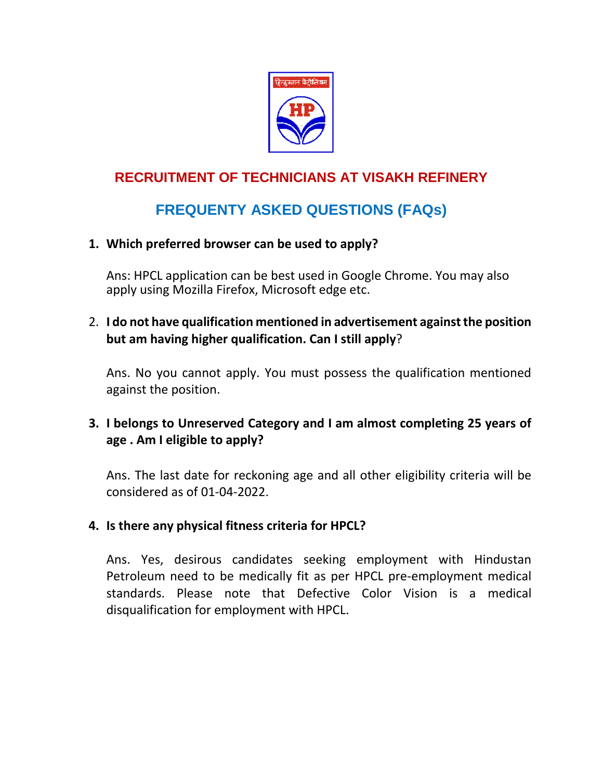

## **RECRUITMENT OF TECHNICIANS AT VISAKH REFINERY**

## **FREQUENTY ASKED QUESTIONS (FAQs)**

## **1. Which preferred browser can be used to apply?**

Ans: HPCL application can be best used in Google Chrome. You may also apply using Mozilla Firefox, Microsoft edge etc.

2. **I do not have qualification mentioned in advertisement against the position but am having higher qualification. Can I still apply**?

Ans. No you cannot apply. You must possess the qualification mentioned against the position.

**3. I belongs to Unreserved Category and I am almost completing 25 years of age . Am I eligible to apply?**

Ans. The last date for reckoning age and all other eligibility criteria will be considered as of 01-04-2022.

#### **4. Is there any physical fitness criteria for HPCL?**

Ans. Yes, desirous candidates seeking employment with Hindustan Petroleum need to be medically fit as per HPCL pre‐employment medical standards. Please note that Defective Color Vision is a medical disqualification for employment with HPCL.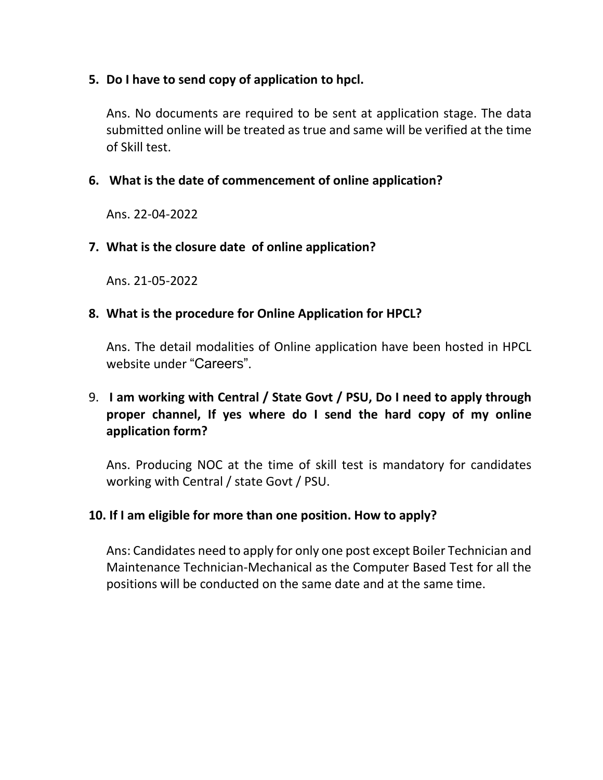#### **5. Do I have to send copy of application to hpcl.**

Ans. No documents are required to be sent at application stage. The data submitted online will be treated as true and same will be verified at the time of Skill test.

### **6. What is the date of commencement of online application?**

Ans. 22-04-2022

#### **7. What is the closure date of online application?**

Ans. 21-05-2022

### **8. What is the procedure for Online Application for HPCL?**

Ans. The detail modalities of Online application have been hosted in HPCL website under "Careers".

## 9. **I am working with Central / State Govt / PSU, Do I need to apply through proper channel, If yes where do I send the hard copy of my online application form?**

Ans. Producing NOC at the time of skill test is mandatory for candidates working with Central / state Govt / PSU.

#### **10. If I am eligible for more than one position. How to apply?**

Ans: Candidates need to apply for only one post except Boiler Technician and Maintenance Technician-Mechanical as the Computer Based Test for all the positions will be conducted on the same date and at the same time.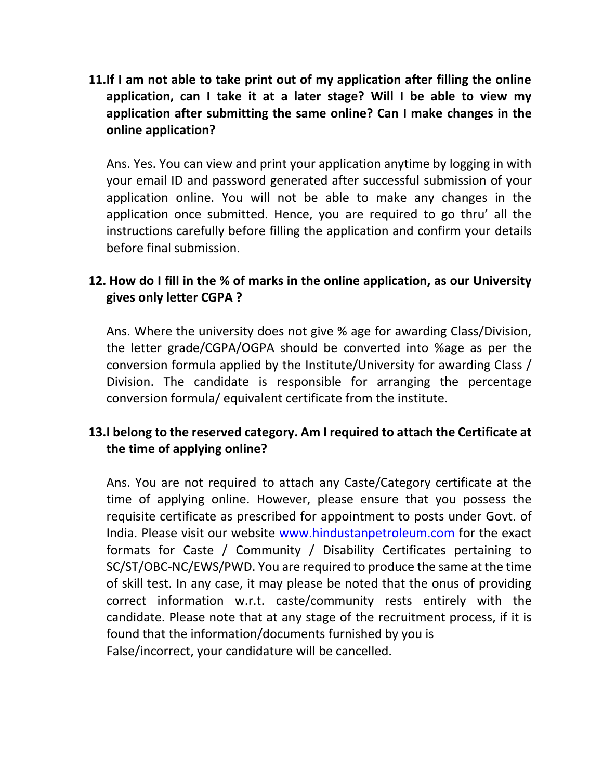**11.If I am not able to take print out of my application after filling the online application, can I take it at a later stage? Will I be able to view my application after submitting the same online? Can I make changes in the online application?**

Ans. Yes. You can view and print your application anytime by logging in with your email ID and password generated after successful submission of your application online. You will not be able to make any changes in the application once submitted. Hence, you are required to go thru' all the instructions carefully before filling the application and confirm your details before final submission.

## **12. How do I fill in the % of marks in the online application, as our University gives only letter CGPA ?**

Ans. Where the university does not give % age for awarding Class/Division, the letter grade/CGPA/OGPA should be converted into %age as per the conversion formula applied by the Institute/University for awarding Class / Division. The candidate is responsible for arranging the percentage conversion formula/ equivalent certificate from the institute.

## **13.I belong to the reserved category. Am I required to attach the Certificate at the time of applying online?**

Ans. You are not required to attach any Caste/Category certificate at the time of applying online. However, please ensure that you possess the requisite certificate as prescribed for appointment to posts under Govt. of India. Please visit our website www.hindustanpetroleum.com for the exact formats for Caste / Community / Disability Certificates pertaining to SC/ST/OBC‐NC/EWS/PWD. You are required to produce the same at the time of skill test. In any case, it may please be noted that the onus of providing correct information w.r.t. caste/community rests entirely with the candidate. Please note that at any stage of the recruitment process, if it is found that the information/documents furnished by you is False/incorrect, your candidature will be cancelled.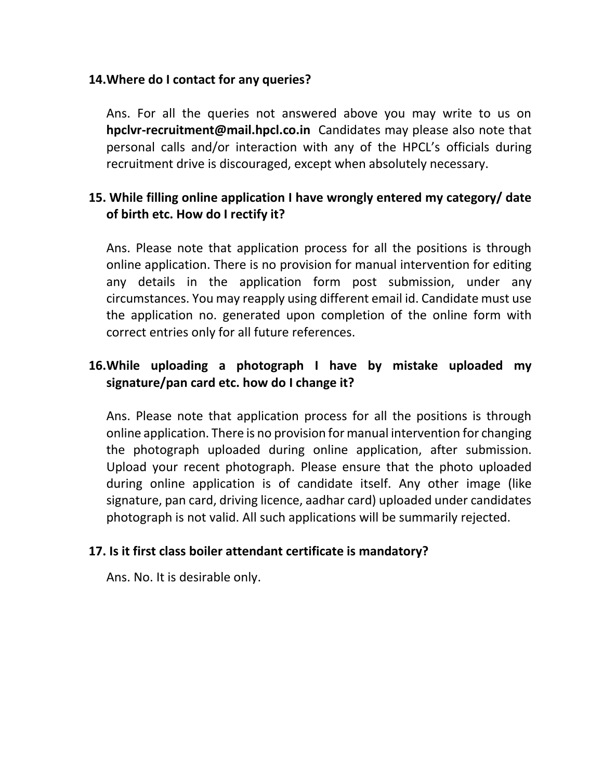#### **14.Where do I contact for any queries?**

Ans. For all the queries not answered above you may write to us on **hpclvr-recruitment@mail.hpcl.co.in** Candidates may please also note that personal calls and/or interaction with any of the HPCL's officials during recruitment drive is discouraged, except when absolutely necessary.

### **15. While filling online application I have wrongly entered my category/ date of birth etc. How do I rectify it?**

Ans. Please note that application process for all the positions is through online application. There is no provision for manual intervention for editing any details in the application form post submission, under any circumstances. You may reapply using different email id. Candidate must use the application no. generated upon completion of the online form with correct entries only for all future references.

## **16.While uploading a photograph I have by mistake uploaded my signature/pan card etc. how do I change it?**

Ans. Please note that application process for all the positions is through online application. There is no provision for manual intervention for changing the photograph uploaded during online application, after submission. Upload your recent photograph. Please ensure that the photo uploaded during online application is of candidate itself. Any other image (like signature, pan card, driving licence, aadhar card) uploaded under candidates photograph is not valid. All such applications will be summarily rejected.

#### **17. Is it first class boiler attendant certificate is mandatory?**

Ans. No. It is desirable only.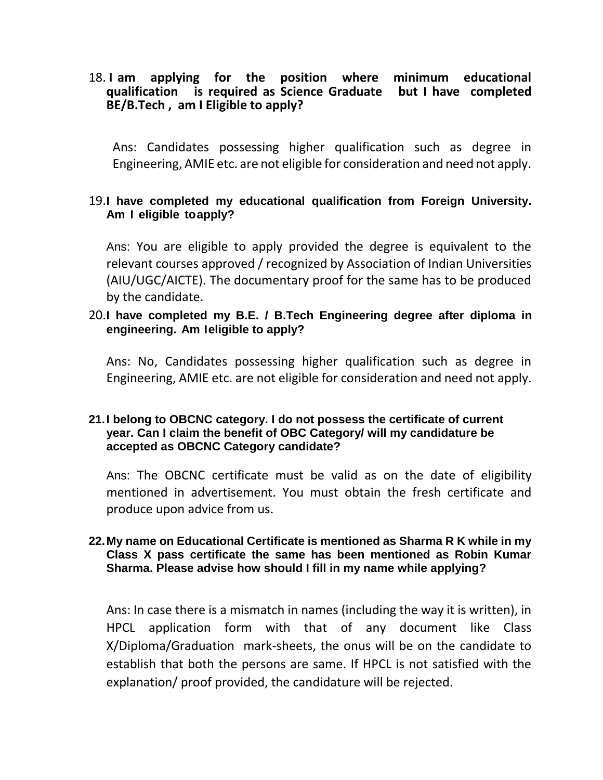18. **I am applying for the position where minimum educational qualification is required as Science Graduate but I have completed BE/B.Tech , am I Eligible to apply?**

Ans: Candidates possessing higher qualification such as degree in Engineering, AMIE etc. are not eligible for consideration and need not apply.

#### 19.**I have completed my educational qualification from Foreign University. Am I eligible toapply?**

Ans: You are eligible to apply provided the degree is equivalent to the relevant courses approved / recognized by Association of Indian Universities (AIU/UGC/AICTE). The documentary proof for the same has to be produced by the candidate.

#### 20.**I have completed my B.E. / B.Tech Engineering degree after diploma in engineering. Am Ieligible to apply?**

Ans: No, Candidates possessing higher qualification such as degree in Engineering, AMIE etc. are not eligible for consideration and need not apply.

#### **21.I belong to OBCNC category. I do not possess the certificate of current year. Can I claim the benefit of OBC Category/ will my candidature be accepted as OBCNC Category candidate?**

Ans: The OBCNC certificate must be valid as on the date of eligibility mentioned in advertisement. You must obtain the fresh certificate and produce upon advice from us.

#### **22.My name on Educational Certificate is mentioned as Sharma R K while in my Class X pass certificate the same has been mentioned as Robin Kumar Sharma. Please advise how should I fill in my name while applying?**

Ans: In case there is a mismatch in names (including the way it is written), in HPCL application form with that of any document like Class X/Diploma/Graduation mark-sheets, the onus will be on the candidate to establish that both the persons are same. If HPCL is not satisfied with the explanation/ proof provided, the candidature will be rejected.